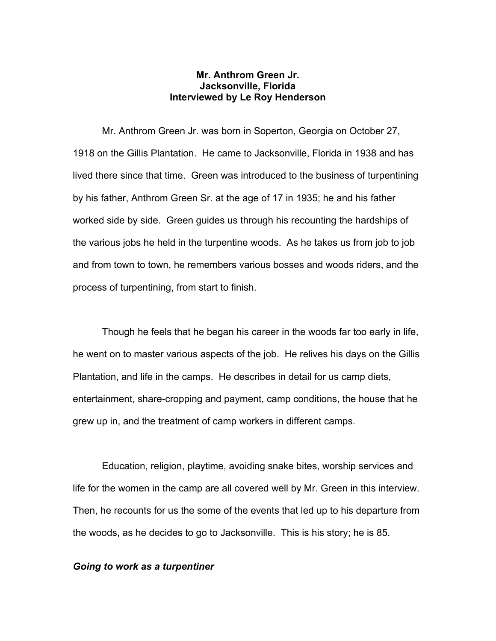### **Mr. Anthrom Green Jr. Jacksonville, Florida Interviewed by Le Roy Henderson**

Mr. Anthrom Green Jr. was born in Soperton, Georgia on October 27, 1918 on the Gillis Plantation. He came to Jacksonville, Florida in 1938 and has lived there since that time. Green was introduced to the business of turpentining by his father, Anthrom Green Sr. at the age of 17 in 1935; he and his father worked side by side. Green guides us through his recounting the hardships of the various jobs he held in the turpentine woods. As he takes us from job to job and from town to town, he remembers various bosses and woods riders, and the process of turpentining, from start to finish.

 Though he feels that he began his career in the woods far too early in life, he went on to master various aspects of the job. He relives his days on the Gillis Plantation, and life in the camps. He describes in detail for us camp diets, entertainment, share-cropping and payment, camp conditions, the house that he grew up in, and the treatment of camp workers in different camps.

Education, religion, playtime, avoiding snake bites, worship services and life for the women in the camp are all covered well by Mr. Green in this interview. Then, he recounts for us the some of the events that led up to his departure from the woods, as he decides to go to Jacksonville. This is his story; he is 85.

#### *Going to work as a turpentiner*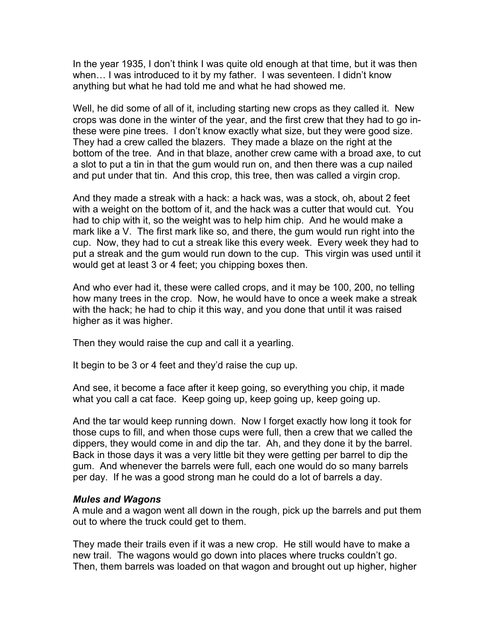In the year 1935, I don't think I was quite old enough at that time, but it was then when… I was introduced to it by my father. I was seventeen. I didn't know anything but what he had told me and what he had showed me.

Well, he did some of all of it, including starting new crops as they called it. New crops was done in the winter of the year, and the first crew that they had to go inthese were pine trees. I don't know exactly what size, but they were good size. They had a crew called the blazers. They made a blaze on the right at the bottom of the tree. And in that blaze, another crew came with a broad axe, to cut a slot to put a tin in that the gum would run on, and then there was a cup nailed and put under that tin. And this crop, this tree, then was called a virgin crop.

And they made a streak with a hack: a hack was, was a stock, oh, about 2 feet with a weight on the bottom of it, and the hack was a cutter that would cut. You had to chip with it, so the weight was to help him chip. And he would make a mark like a V. The first mark like so, and there, the gum would run right into the cup. Now, they had to cut a streak like this every week. Every week they had to put a streak and the gum would run down to the cup. This virgin was used until it would get at least 3 or 4 feet; you chipping boxes then.

And who ever had it, these were called crops, and it may be 100, 200, no telling how many trees in the crop. Now, he would have to once a week make a streak with the hack; he had to chip it this way, and you done that until it was raised higher as it was higher.

Then they would raise the cup and call it a yearling.

It begin to be 3 or 4 feet and they'd raise the cup up.

And see, it become a face after it keep going, so everything you chip, it made what you call a cat face. Keep going up, keep going up, keep going up.

And the tar would keep running down. Now I forget exactly how long it took for those cups to fill, and when those cups were full, then a crew that we called the dippers, they would come in and dip the tar. Ah, and they done it by the barrel. Back in those days it was a very little bit they were getting per barrel to dip the gum. And whenever the barrels were full, each one would do so many barrels per day. If he was a good strong man he could do a lot of barrels a day.

### *Mules and Wagons*

A mule and a wagon went all down in the rough, pick up the barrels and put them out to where the truck could get to them.

They made their trails even if it was a new crop. He still would have to make a new trail. The wagons would go down into places where trucks couldn't go. Then, them barrels was loaded on that wagon and brought out up higher, higher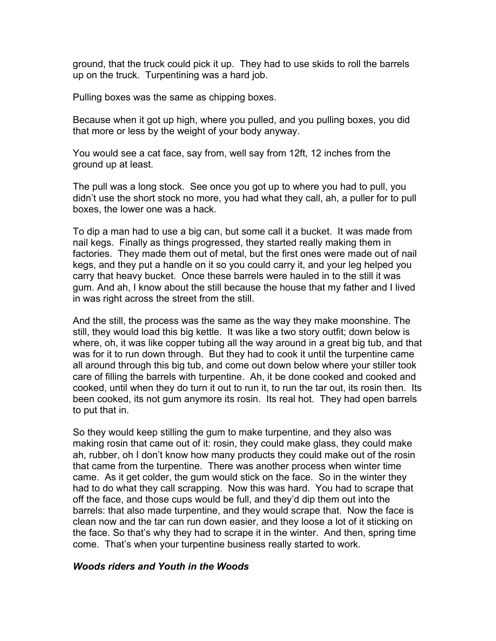ground, that the truck could pick it up. They had to use skids to roll the barrels up on the truck. Turpentining was a hard job.

Pulling boxes was the same as chipping boxes.

Because when it got up high, where you pulled, and you pulling boxes, you did that more or less by the weight of your body anyway.

You would see a cat face, say from, well say from 12ft, 12 inches from the ground up at least.

The pull was a long stock. See once you got up to where you had to pull, you didn't use the short stock no more, you had what they call, ah, a puller for to pull boxes, the lower one was a hack.

To dip a man had to use a big can, but some call it a bucket. It was made from nail kegs. Finally as things progressed, they started really making them in factories. They made them out of metal, but the first ones were made out of nail kegs, and they put a handle on it so you could carry it, and your leg helped you carry that heavy bucket. Once these barrels were hauled in to the still it was gum. And ah, I know about the still because the house that my father and I lived in was right across the street from the still.

And the still, the process was the same as the way they make moonshine. The still, they would load this big kettle. It was like a two story outfit; down below is where, oh, it was like copper tubing all the way around in a great big tub, and that was for it to run down through. But they had to cook it until the turpentine came all around through this big tub, and come out down below where your stiller took care of filling the barrels with turpentine. Ah, it be done cooked and cooked and cooked, until when they do turn it out to run it, to run the tar out, its rosin then. Its been cooked, its not gum anymore its rosin. Its real hot. They had open barrels to put that in.

So they would keep stilling the gum to make turpentine, and they also was making rosin that came out of it: rosin, they could make glass, they could make ah, rubber, oh I don't know how many products they could make out of the rosin that came from the turpentine. There was another process when winter time came. As it get colder, the gum would stick on the face. So in the winter they had to do what they call scrapping. Now this was hard. You had to scrape that off the face, and those cups would be full, and they'd dip them out into the barrels: that also made turpentine, and they would scrape that. Now the face is clean now and the tar can run down easier, and they loose a lot of it sticking on the face. So that's why they had to scrape it in the winter. And then, spring time come. That's when your turpentine business really started to work.

# *Woods riders and Youth in the Woods*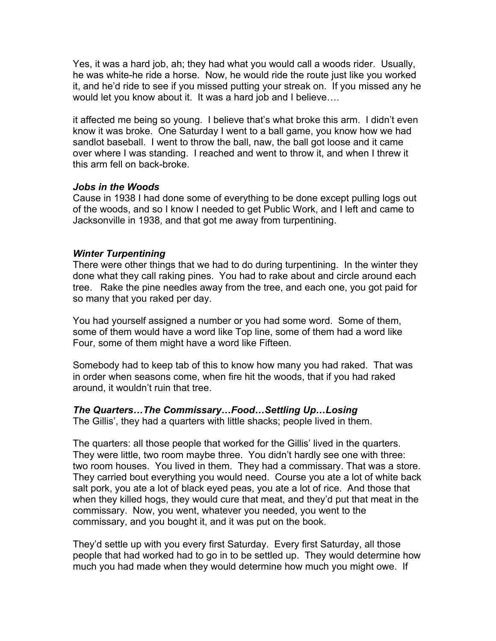Yes, it was a hard job, ah; they had what you would call a woods rider. Usually, he was white-he ride a horse. Now, he would ride the route just like you worked it, and he'd ride to see if you missed putting your streak on. If you missed any he would let you know about it. It was a hard job and I believe….

it affected me being so young. I believe that's what broke this arm. I didn't even know it was broke. One Saturday I went to a ball game, you know how we had sandlot baseball. I went to throw the ball, naw, the ball got loose and it came over where I was standing. I reached and went to throw it, and when I threw it this arm fell on back-broke.

# *Jobs in the Woods*

Cause in 1938 I had done some of everything to be done except pulling logs out of the woods, and so I know I needed to get Public Work, and I left and came to Jacksonville in 1938, and that got me away from turpentining.

# *Winter Turpentining*

There were other things that we had to do during turpentining. In the winter they done what they call raking pines. You had to rake about and circle around each tree. Rake the pine needles away from the tree, and each one, you got paid for so many that you raked per day.

You had yourself assigned a number or you had some word. Some of them, some of them would have a word like Top line, some of them had a word like Four, some of them might have a word like Fifteen.

Somebody had to keep tab of this to know how many you had raked. That was in order when seasons come, when fire hit the woods, that if you had raked around, it wouldn't ruin that tree.

### *The Quarters…The Commissary…Food…Settling Up…Losing*

The Gillis', they had a quarters with little shacks; people lived in them.

The quarters: all those people that worked for the Gillis' lived in the quarters. They were little, two room maybe three. You didn't hardly see one with three: two room houses. You lived in them. They had a commissary. That was a store. They carried bout everything you would need. Course you ate a lot of white back salt pork, you ate a lot of black eyed peas, you ate a lot of rice. And those that when they killed hogs, they would cure that meat, and they'd put that meat in the commissary. Now, you went, whatever you needed, you went to the commissary, and you bought it, and it was put on the book.

They'd settle up with you every first Saturday. Every first Saturday, all those people that had worked had to go in to be settled up. They would determine how much you had made when they would determine how much you might owe. If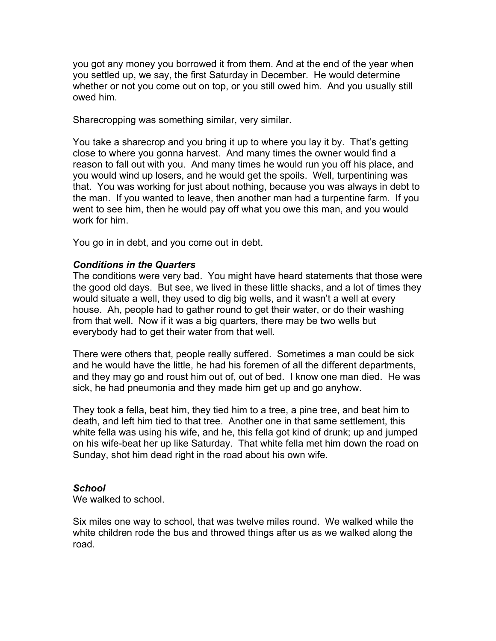you got any money you borrowed it from them. And at the end of the year when you settled up, we say, the first Saturday in December. He would determine whether or not you come out on top, or you still owed him. And you usually still owed him.

Sharecropping was something similar, very similar.

You take a sharecrop and you bring it up to where you lay it by. That's getting close to where you gonna harvest. And many times the owner would find a reason to fall out with you. And many times he would run you off his place, and you would wind up losers, and he would get the spoils. Well, turpentining was that. You was working for just about nothing, because you was always in debt to the man. If you wanted to leave, then another man had a turpentine farm. If you went to see him, then he would pay off what you owe this man, and you would work for him.

You go in in debt, and you come out in debt.

# *Conditions in the Quarters*

The conditions were very bad. You might have heard statements that those were the good old days. But see, we lived in these little shacks, and a lot of times they would situate a well, they used to dig big wells, and it wasn't a well at every house. Ah, people had to gather round to get their water, or do their washing from that well. Now if it was a big quarters, there may be two wells but everybody had to get their water from that well.

There were others that, people really suffered. Sometimes a man could be sick and he would have the little, he had his foremen of all the different departments, and they may go and roust him out of, out of bed. I know one man died. He was sick, he had pneumonia and they made him get up and go anyhow.

They took a fella, beat him, they tied him to a tree, a pine tree, and beat him to death, and left him tied to that tree. Another one in that same settlement, this white fella was using his wife, and he, this fella got kind of drunk; up and jumped on his wife-beat her up like Saturday. That white fella met him down the road on Sunday, shot him dead right in the road about his own wife.

### *School*

We walked to school.

Six miles one way to school, that was twelve miles round. We walked while the white children rode the bus and throwed things after us as we walked along the road.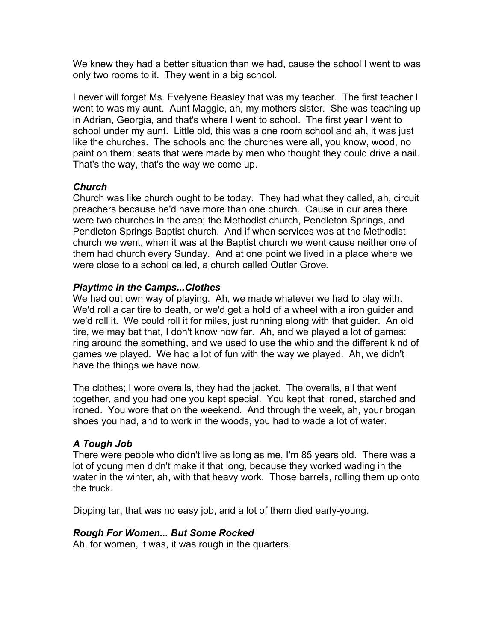We knew they had a better situation than we had, cause the school I went to was only two rooms to it. They went in a big school.

I never will forget Ms. Evelyene Beasley that was my teacher. The first teacher I went to was my aunt. Aunt Maggie, ah, my mothers sister. She was teaching up in Adrian, Georgia, and that's where I went to school. The first year I went to school under my aunt. Little old, this was a one room school and ah, it was just like the churches. The schools and the churches were all, you know, wood, no paint on them; seats that were made by men who thought they could drive a nail. That's the way, that's the way we come up.

# *Church*

Church was like church ought to be today. They had what they called, ah, circuit preachers because he'd have more than one church. Cause in our area there were two churches in the area; the Methodist church, Pendleton Springs, and Pendleton Springs Baptist church. And if when services was at the Methodist church we went, when it was at the Baptist church we went cause neither one of them had church every Sunday. And at one point we lived in a place where we were close to a school called, a church called Outler Grove.

# *Playtime in the Camps...Clothes*

We had out own way of playing. Ah, we made whatever we had to play with. We'd roll a car tire to death, or we'd get a hold of a wheel with a iron guider and we'd roll it. We could roll it for miles, just running along with that guider. An old tire, we may bat that, I don't know how far. Ah, and we played a lot of games: ring around the something, and we used to use the whip and the different kind of games we played. We had a lot of fun with the way we played. Ah, we didn't have the things we have now.

The clothes; I wore overalls, they had the jacket. The overalls, all that went together, and you had one you kept special. You kept that ironed, starched and ironed. You wore that on the weekend. And through the week, ah, your brogan shoes you had, and to work in the woods, you had to wade a lot of water.

# *A Tough Job*

There were people who didn't live as long as me, I'm 85 years old. There was a lot of young men didn't make it that long, because they worked wading in the water in the winter, ah, with that heavy work. Those barrels, rolling them up onto the truck.

Dipping tar, that was no easy job, and a lot of them died early-young.

# *Rough For Women... But Some Rocked*

Ah, for women, it was, it was rough in the quarters.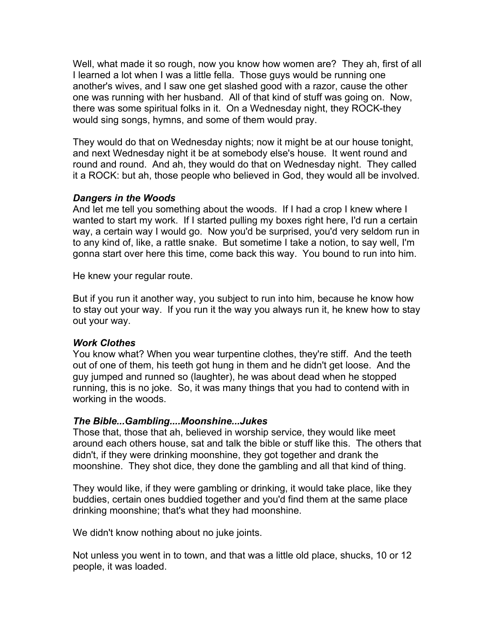Well, what made it so rough, now you know how women are? They ah, first of all I learned a lot when I was a little fella. Those guys would be running one another's wives, and I saw one get slashed good with a razor, cause the other one was running with her husband. All of that kind of stuff was going on. Now, there was some spiritual folks in it. On a Wednesday night, they ROCK-they would sing songs, hymns, and some of them would pray.

They would do that on Wednesday nights; now it might be at our house tonight, and next Wednesday night it be at somebody else's house. It went round and round and round. And ah, they would do that on Wednesday night. They called it a ROCK: but ah, those people who believed in God, they would all be involved.

# *Dangers in the Woods*

And let me tell you something about the woods. If I had a crop I knew where I wanted to start my work. If I started pulling my boxes right here, I'd run a certain way, a certain way I would go. Now you'd be surprised, you'd very seldom run in to any kind of, like, a rattle snake. But sometime I take a notion, to say well, I'm gonna start over here this time, come back this way. You bound to run into him.

He knew your regular route.

But if you run it another way, you subject to run into him, because he know how to stay out your way. If you run it the way you always run it, he knew how to stay out your way.

### *Work Clothes*

You know what? When you wear turpentine clothes, they're stiff. And the teeth out of one of them, his teeth got hung in them and he didn't get loose. And the guy jumped and runned so (laughter), he was about dead when he stopped running, this is no joke. So, it was many things that you had to contend with in working in the woods.

### *The Bible...Gambling....Moonshine...Jukes*

Those that, those that ah, believed in worship service, they would like meet around each others house, sat and talk the bible or stuff like this. The others that didn't, if they were drinking moonshine, they got together and drank the moonshine. They shot dice, they done the gambling and all that kind of thing.

They would like, if they were gambling or drinking, it would take place, like they buddies, certain ones buddied together and you'd find them at the same place drinking moonshine; that's what they had moonshine.

We didn't know nothing about no juke joints.

Not unless you went in to town, and that was a little old place, shucks, 10 or 12 people, it was loaded.